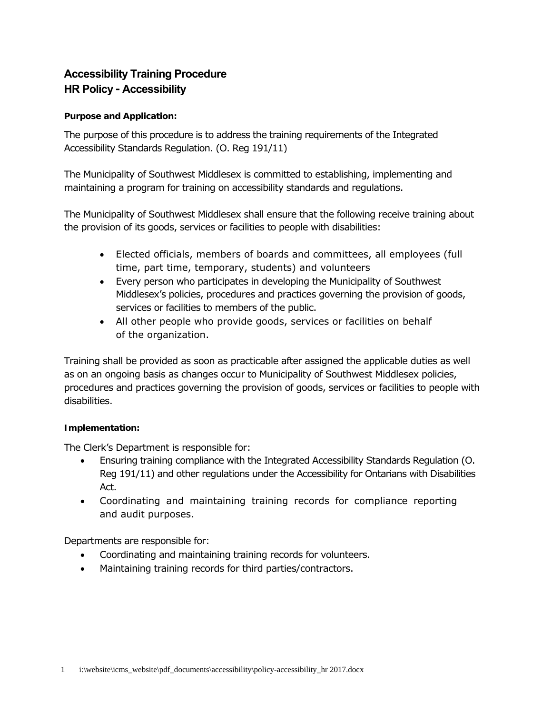# **Accessibility Training Procedure HR Policy ‐ Accessibility**

## **Purpose and Application:**

The purpose of this procedure is to address the training requirements of the Integrated Accessibility Standards Regulation. (O. Reg 191/11)

The Municipality of Southwest Middlesex is committed to establishing, implementing and maintaining a program for training on accessibility standards and regulations.

The Municipality of Southwest Middlesex shall ensure that the following receive training about the provision of its goods, services or facilities to people with disabilities:

- Elected officials, members of boards and committees, all employees (full time, part time, temporary, students) and volunteers
- Every person who participates in developing the Municipality of Southwest Middlesex's policies, procedures and practices governing the provision of goods, services or facilities to members of the public.
- All other people who provide goods, services or facilities on behalf of the organization.

Training shall be provided as soon as practicable after assigned the applicable duties as well as on an ongoing basis as changes occur to Municipality of Southwest Middlesex policies, procedures and practices governing the provision of goods, services or facilities to people with disabilities.

## **Implementation:**

The Clerk's Department is responsible for:

- Ensuring training compliance with the Integrated Accessibility Standards Regulation (O. Reg 191/11) and other regulations under the Accessibility for Ontarians with Disabilities Act.
- Coordinating and maintaining training records for compliance reporting and audit purposes.

Departments are responsible for:

- Coordinating and maintaining training records for volunteers.
- Maintaining training records for third parties/contractors.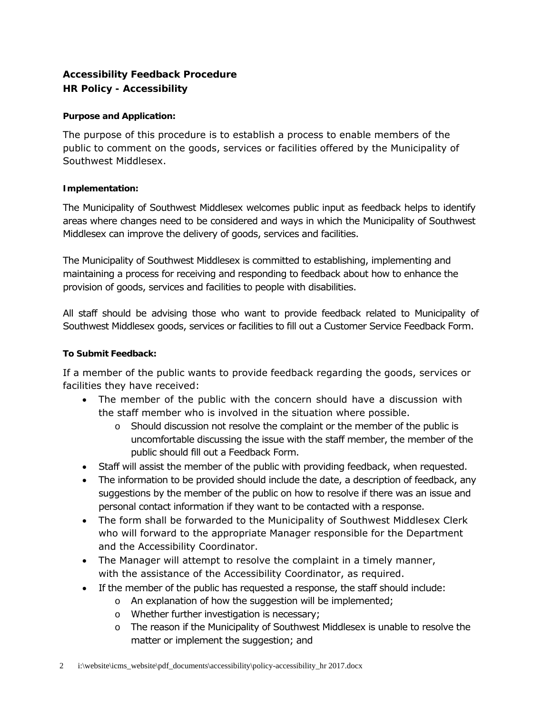## **Accessibility Feedback Procedure HR Policy - Accessibility**

## **Purpose and Application:**

The purpose of this procedure is to establish a process to enable members of the public to comment on the goods, services or facilities offered by the Municipality of Southwest Middlesex.

## **Implementation:**

The Municipality of Southwest Middlesex welcomes public input as feedback helps to identify areas where changes need to be considered and ways in which the Municipality of Southwest Middlesex can improve the delivery of goods, services and facilities.

The Municipality of Southwest Middlesex is committed to establishing, implementing and maintaining a process for receiving and responding to feedback about how to enhance the provision of goods, services and facilities to people with disabilities.

All staff should be advising those who want to provide feedback related to Municipality of Southwest Middlesex goods, services or facilities to fill out a Customer Service Feedback Form.

## **To Submit Feedback:**

If a member of the public wants to provide feedback regarding the goods, services or facilities they have received:

- The member of the public with the concern should have a discussion with the staff member who is involved in the situation where possible.
	- o Should discussion not resolve the complaint or the member of the public is uncomfortable discussing the issue with the staff member, the member of the public should fill out a Feedback Form.
- Staff will assist the member of the public with providing feedback, when requested.
- The information to be provided should include the date, a description of feedback, any suggestions by the member of the public on how to resolve if there was an issue and personal contact information if they want to be contacted with a response.
- The form shall be forwarded to the Municipality of Southwest Middlesex Clerk who will forward to the appropriate Manager responsible for the Department and the Accessibility Coordinator.
- The Manager will attempt to resolve the complaint in a timely manner, with the assistance of the Accessibility Coordinator, as required.
- If the member of the public has requested a response, the staff should include:
	- o An explanation of how the suggestion will be implemented;
	- o Whether further investigation is necessary;
	- o The reason if the Municipality of Southwest Middlesex is unable to resolve the matter or implement the suggestion; and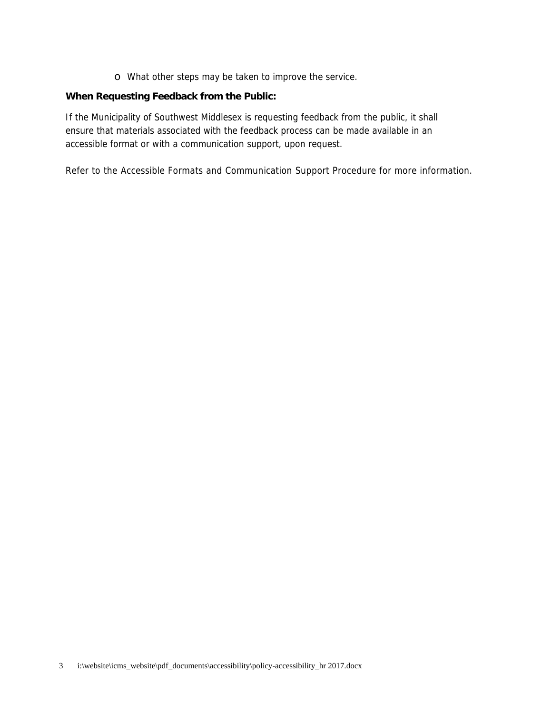o What other steps may be taken to improve the service.

## **When Requesting Feedback from the Public:**

If the Municipality of Southwest Middlesex is requesting feedback from the public, it shall ensure that materials associated with the feedback process can be made available in an accessible format or with a communication support, upon request.

Refer to the Accessible Formats and Communication Support Procedure for more information.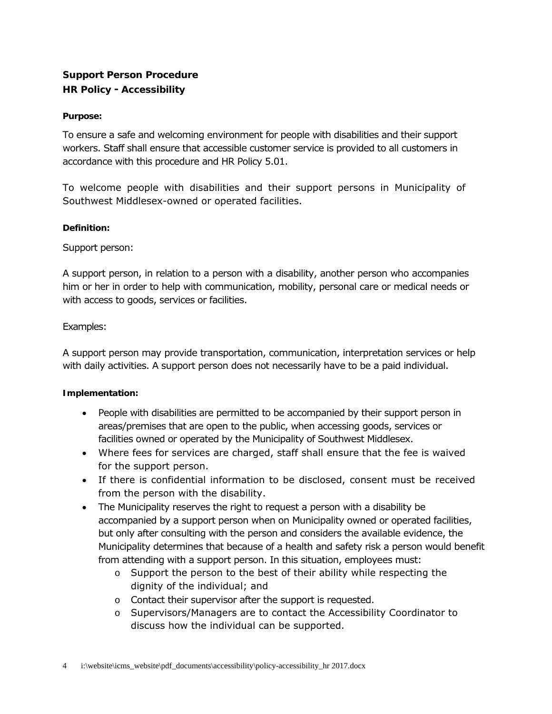## **Support Person Procedure HR Policy ‐ Accessibility**

## **Purpose:**

To ensure a safe and welcoming environment for people with disabilities and their support workers. Staff shall ensure that accessible customer service is provided to all customers in accordance with this procedure and HR Policy 5.01.

To welcome people with disabilities and their support persons in Municipality of Southwest Middlesex-owned or operated facilities.

#### **Definition:**

Support person:

A support person, in relation to a person with a disability, another person who accompanies him or her in order to help with communication, mobility, personal care or medical needs or with access to goods, services or facilities.

## Examples:

A support person may provide transportation, communication, interpretation services or help with daily activities. A support person does not necessarily have to be a paid individual.

#### **Implementation:**

- People with disabilities are permitted to be accompanied by their support person in areas/premises that are open to the public, when accessing goods, services or facilities owned or operated by the Municipality of Southwest Middlesex.
- Where fees for services are charged, staff shall ensure that the fee is waived for the support person.
- If there is confidential information to be disclosed, consent must be received from the person with the disability.
- The Municipality reserves the right to request a person with a disability be accompanied by a support person when on Municipality owned or operated facilities, but only after consulting with the person and considers the available evidence, the Municipality determines that because of a health and safety risk a person would benefit from attending with a support person. In this situation, employees must:
	- $\circ$  Support the person to the best of their ability while respecting the dignity of the individual; and
	- o Contact their supervisor after the support is requested.
	- o Supervisors/Managers are to contact the Accessibility Coordinator to discuss how the individual can be supported.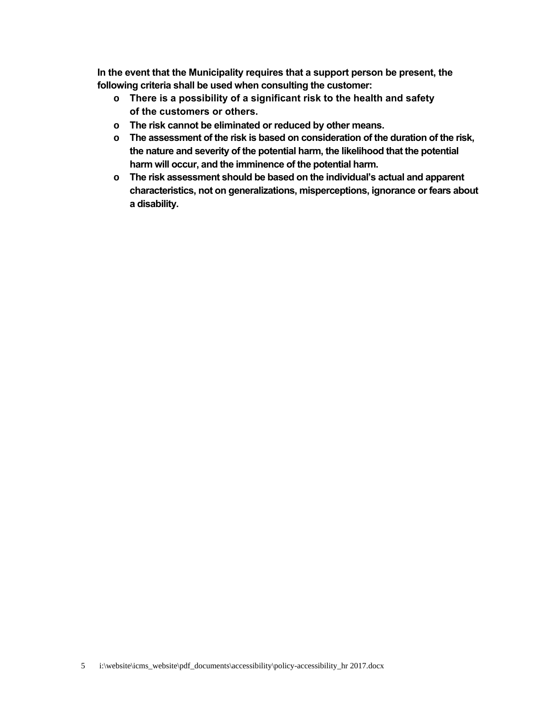**In the event that the Municipality requires that a support person be present, the following criteria shall be used when consulting the customer:** 

- **o There is a possibility of a significant risk to the health and safety of the customers or others.**
- **o The risk cannot be eliminated or reduced by other means.**
- **o The assessment of the risk is based on consideration of the duration of the risk, the nature and severity of the potential harm, the likelihood that the potential harm will occur, and the imminence of the potential harm.**
- **o The risk assessment should be based on the individual's actual and apparent characteristics, not on generalizations, misperceptions, ignorance or fears about a disability.**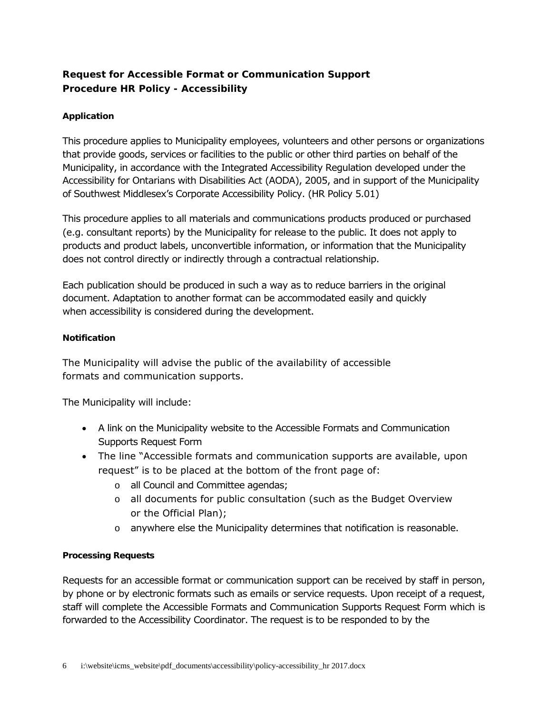## **Request for Accessible Format or Communication Support Procedure HR Policy - Accessibility**

## **Application**

This procedure applies to Municipality employees, volunteers and other persons or organizations that provide goods, services or facilities to the public or other third parties on behalf of the Municipality, in accordance with the Integrated Accessibility Regulation developed under the *Accessibility for Ontarians with Disabilities Act* (AODA), 2005, and in support of the Municipality of Southwest Middlesex's Corporate Accessibility Policy. (HR Policy 5.01)

This procedure applies to all materials and communications products produced or purchased (e.g. consultant reports) by the Municipality for release to the public. It does not apply to products and product labels, unconvertible information, or information that the Municipality does not control directly or indirectly through a contractual relationship.

Each publication should be produced in such a way as to reduce barriers in the original document. Adaptation to another format can be accommodated easily and quickly when accessibility is considered during the development.

## **Notification**

The Municipality will advise the public of the availability of accessible formats and communication supports.

The Municipality will include:

- A link on the Municipality website to the Accessible Formats and Communication Supports Request Form
- The line "Accessible formats and communication supports are available, upon request" is to be placed at the bottom of the front page of:
	- o all Council and Committee agendas;
	- o all documents for public consultation (such as the Budget Overview or the Official Plan);
	- $\circ$  anywhere else the Municipality determines that notification is reasonable.

## **Processing Requests**

Requests for an accessible format or communication support can be received by staff in person, by phone or by electronic formats such as emails or service requests. Upon receipt of a request, staff will complete the Accessible Formats and Communication Supports Request Form which is forwarded to the Accessibility Coordinator. The request is to be responded to by the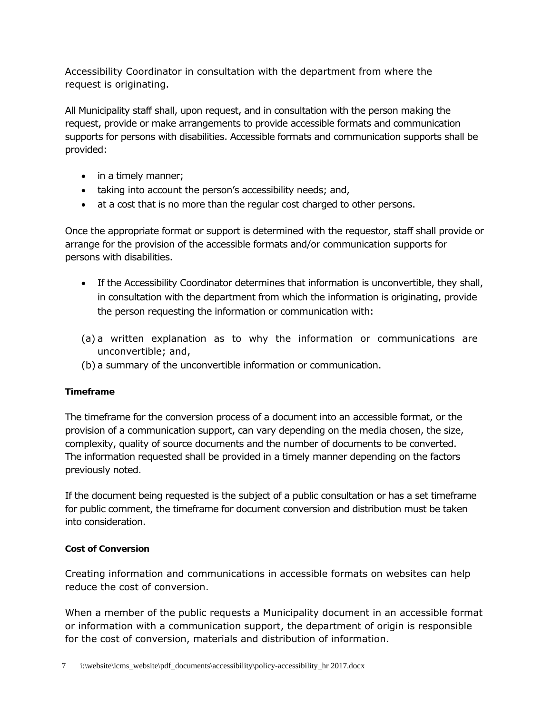Accessibility Coordinator in consultation with the department from where the request is originating.

All Municipality staff shall, upon request, and in consultation with the person making the request, provide or make arrangements to provide accessible formats and communication supports for persons with disabilities. Accessible formats and communication supports shall be provided:

- in a timely manner;
- taking into account the person's accessibility needs; and,
- at a cost that is no more than the regular cost charged to other persons.

Once the appropriate format or support is determined with the requestor, staff shall provide or arrange for the provision of the accessible formats and/or communication supports for persons with disabilities.

- If the Accessibility Coordinator determines that information is unconvertible, they shall, in consultation with the department from which the information is originating, provide the person requesting the information or communication with:
- (a) a written explanation as to why the information or communications are unconvertible; and,
- (b) a summary of the unconvertible information or communication.

## **Timeframe**

The timeframe for the conversion process of a document into an accessible format, or the provision of a communication support, can vary depending on the media chosen, the size, complexity, quality of source documents and the number of documents to be converted. The information requested shall be provided in a timely manner depending on the factors previously noted.

If the document being requested is the subject of a public consultation or has a set timeframe for public comment, the timeframe for document conversion and distribution must be taken into consideration.

## **Cost of Conversion**

Creating information and communications in accessible formats on websites can help reduce the cost of conversion.

When a member of the public requests a Municipality document in an accessible format or information with a communication support, the department of origin is responsible for the cost of conversion, materials and distribution of information.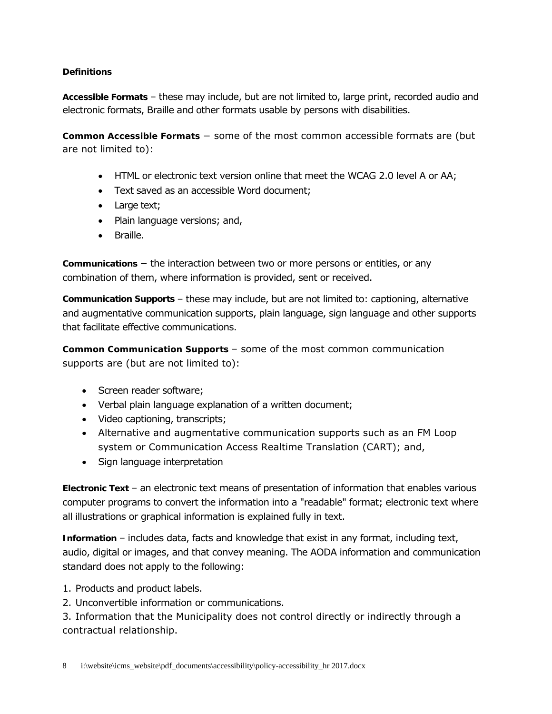## **Definitions**

**Accessible Formats** – these may include, but are not limited to, large print, recorded audio and electronic formats, Braille and other formats usable by persons with disabilities.

**Common Accessible Formats** − some of the most common accessible formats are (but are not limited to):

- HTML or electronic text version online that meet the WCAG 2.0 level A or AA;
- Text saved as an accessible Word document;
- Large text;
- Plain language versions; and,
- Braille.

**Communications** − the interaction between two or more persons or entities, or any combination of them, where information is provided, sent or received.

**Communication Supports** – these may include, but are not limited to: captioning, alternative and augmentative communication supports, plain language, sign language and other supports that facilitate effective communications.

**Common Communication Supports** – some of the most common communication supports are (but are not limited to):

- Screen reader software;
- Verbal plain language explanation of a written document;
- Video captioning, transcripts;
- Alternative and augmentative communication supports such as an FM Loop system or Communication Access Realtime Translation (CART); and,
- Sign language interpretation

**Electronic Text** – an electronic text means of presentation of information that enables various computer programs to convert the information into a "readable" format; electronic text where all illustrations or graphical information is explained fully in text.

**Information** – includes data, facts and knowledge that exist in any format, including text, audio, digital or images, and that convey meaning. The AODA information and communication standard does not apply to the following:

- 1. Products and product labels.
- 2. Unconvertible information or communications.

3. Information that the Municipality does not control directly or indirectly through a contractual relationship.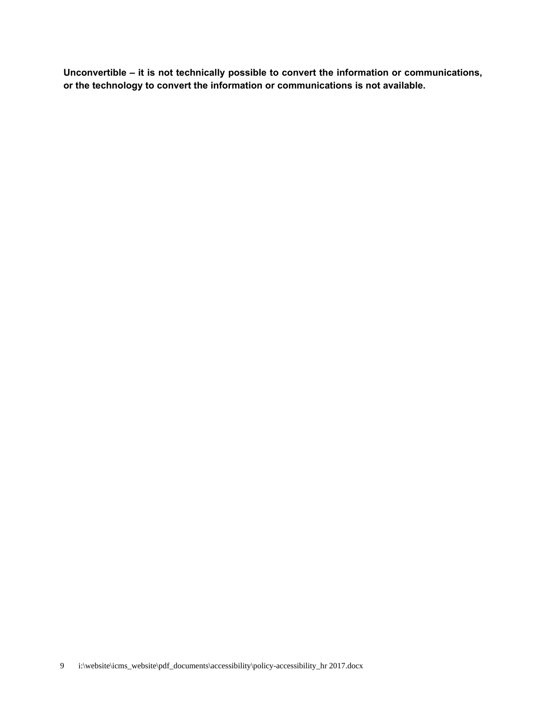**Unconvertible – it is not technically possible to convert the information or communications, or the technology to convert the information or communications is not available.**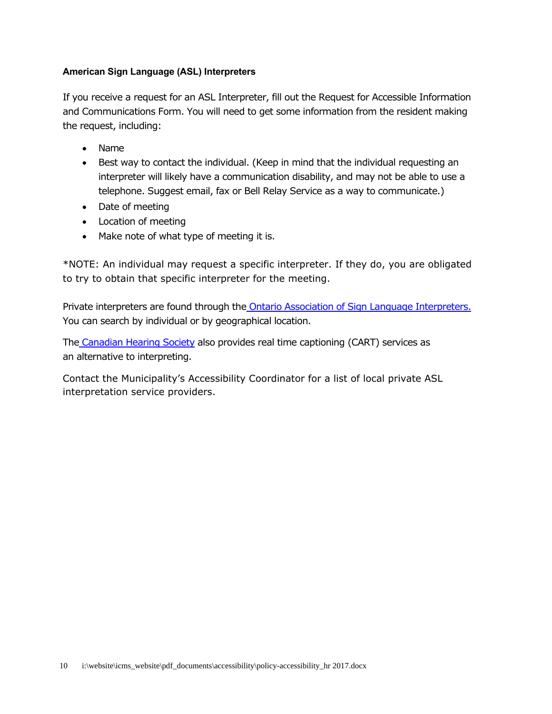## **American Sign Language (ASL) Interpreters**

If you receive a request for an ASL Interpreter, fill out the Request for Accessible Information and Communications Form. You will need to get some information from the resident making the request, including:

- Name
- Best way to contact the individual. (Keep in mind that the individual requesting an interpreter will likely have a communication disability, and may not be able to use a telephone. Suggest email, fax or Bell Relay Service as a way to communicate.)
- Date of meeting
- Location of meeting
- Make note of what type of meeting it is.

\*NOTE: An individual may request a specific interpreter. If they do, you are obligated to try to obtain that specific interpreter for the meeting.

Private interpreters are found through the Ontario Association of Sign Language Interpreters. You can search by individual or by geographical location.

The Canadian Hearing Society also provides real time captioning (CART) services as an alternative to interpreting.

Contact the Municipality's Accessibility Coordinator for a list of local private ASL interpretation service providers.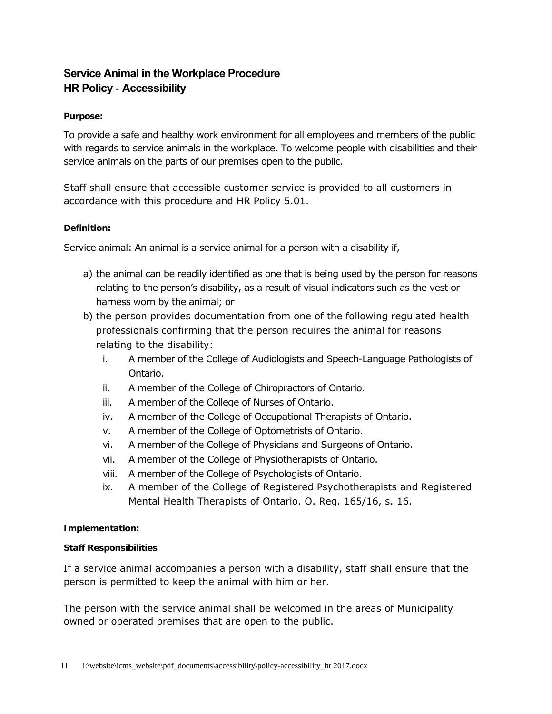## **Service Animal in the Workplace Procedure HR Policy - Accessibility**

## **Purpose:**

To provide a safe and healthy work environment for all employees and members of the public with regards to service animals in the workplace. To welcome people with disabilities and their service animals on the parts of our premises open to the public.

Staff shall ensure that accessible customer service is provided to all customers in accordance with this procedure and HR Policy 5.01.

## **Definition:**

Service animal: An animal is a service animal for a person with a disability if,

- a) the animal can be readily identified as one that is being used by the person for reasons relating to the person's disability, as a result of visual indicators such as the vest or harness worn by the animal; or
- b) the person provides documentation from one of the following regulated health professionals confirming that the person requires the animal for reasons relating to the disability:
	- i. A member of the College of Audiologists and Speech-Language Pathologists of Ontario.
	- ii. A member of the College of Chiropractors of Ontario.
	- iii. A member of the College of Nurses of Ontario.
	- iv. A member of the College of Occupational Therapists of Ontario.
	- v. A member of the College of Optometrists of Ontario.
	- vi. A member of the College of Physicians and Surgeons of Ontario.
	- vii. A member of the College of Physiotherapists of Ontario.
	- viii. A member of the College of Psychologists of Ontario.
	- ix. A member of the College of Registered Psychotherapists and Registered Mental Health Therapists of Ontario. O. Reg. 165/16, s. 16.

#### **Implementation:**

#### **Staff Responsibilities**

If a service animal accompanies a person with a disability, staff shall ensure that the person is permitted to keep the animal with him or her.

The person with the service animal shall be welcomed in the areas of Municipality owned or operated premises that are open to the public.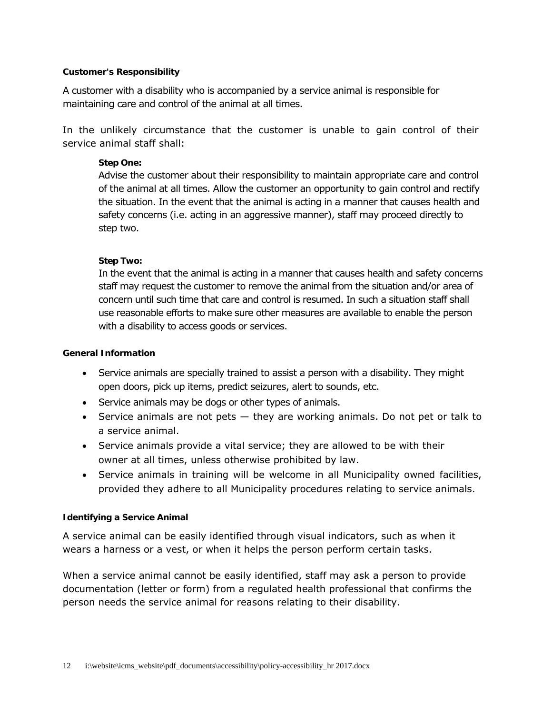#### **Customer's Responsibility**

A customer with a disability who is accompanied by a service animal is responsible for maintaining care and control of the animal at all times.

In the unlikely circumstance that the customer is unable to gain control of their service animal staff shall:

## **Step One:**

Advise the customer about their responsibility to maintain appropriate care and control of the animal at all times. Allow the customer an opportunity to gain control and rectify the situation. In the event that the animal is acting in a manner that causes health and safety concerns (i.e. acting in an aggressive manner), staff may proceed directly to step two.

## **Step Two:**

In the event that the animal is acting in a manner that causes health and safety concerns staff may request the customer to remove the animal from the situation and/or area of concern until such time that care and control is resumed. In such a situation staff shall use reasonable efforts to make sure other measures are available to enable the person with a disability to access goods or services.

#### **General Information**

- Service animals are specially trained to assist a person with a disability. They might open doors, pick up items, predict seizures, alert to sounds, etc.
- Service animals may be dogs or other types of animals.
- Service animals are not pets  $-$  they are working animals. Do not pet or talk to a service animal.
- Service animals provide a vital service; they are allowed to be with their owner at all times, unless otherwise prohibited by law.
- Service animals in training will be welcome in all Municipality owned facilities, provided they adhere to all Municipality procedures relating to service animals.

#### **Identifying a Service Animal**

A service animal can be easily identified through visual indicators, such as when it wears a harness or a vest, or when it helps the person perform certain tasks.

When a service animal cannot be easily identified, staff may ask a person to provide documentation (letter or form) from a regulated health professional that confirms the person needs the service animal for reasons relating to their disability.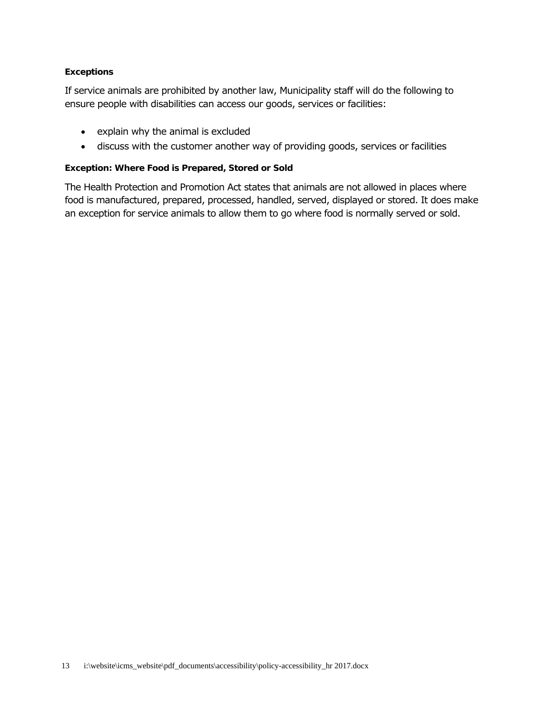## **Exceptions**

If service animals are prohibited by another law, Municipality staff will do the following to ensure people with disabilities can access our goods, services or facilities:

- explain why the animal is excluded
- discuss with the customer another way of providing goods, services or facilities

#### **Exception: Where Food is Prepared, Stored or Sold**

The Health Protection and Promotion Act states that animals are not allowed in places where food is manufactured, prepared, processed, handled, served, displayed or stored. It does make an exception for service animals to allow them to go where food is normally served or sold.